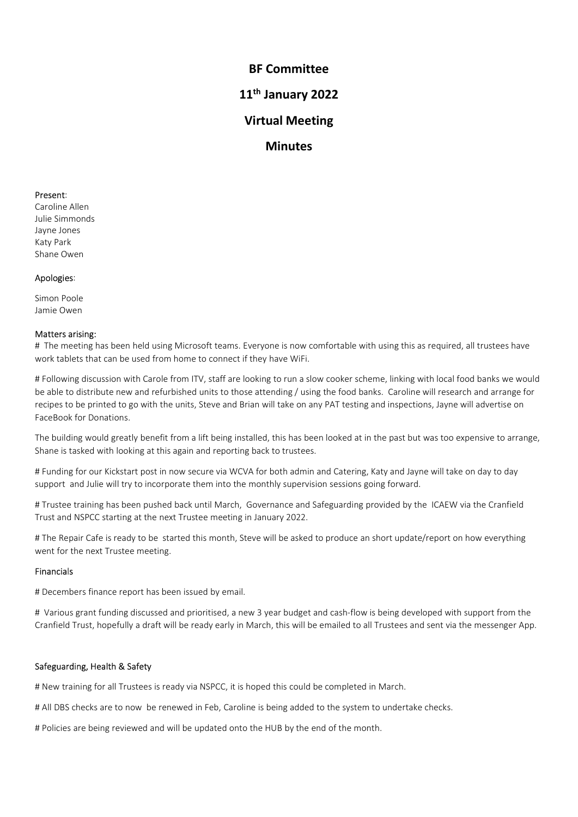BF Committee<br>1<sup>th</sup> January 2022<br>/irtual Meeting BF Committee<br>11<sup>th</sup> January 2022<br>Virtual Meeting<br>Minutes BF Committee<br>
1<sup>th</sup> January 2022<br>
Virtual Meeting<br>
Minutes **Minutes BF Committee<br>
11<sup>th</sup> January 2022<br>
Virtual Meeting<br>
Minutes<br>
Present:<br>
Caroline Allen<br>
Jalye Jones<br>
Katy Park<br>
Shane Owen**<br> **Anologies: BF Committee<br>11<sup>th</sup> January 2022<br>Virtual Meeting<br>Minutes<br>Present:<br>Caroline Allen<br>Julie Simmonds<br>Jayne Jones<br>Katy Park<br>Shane Owen**<br>Present:<br>Shane Owen **BF Committee<br>
11<sup>th</sup> January 2022<br>
Virtual Meeting<br>
Minutes<br>
Present:<br>
Caroline Allen<br>
Present:<br>
Caroline Allen<br>
Ally Birmonods<br>
Katy Park<br>
Shane Owen<br>
Apologies:<br>
Simon Poole BF Committee<br>11<sup>th</sup> January 2022<br>Virtual Meeting<br>Minutes<br>Present:<br>Caroline Allen<br>Janie Power<br>Shane Owen**<br>Apologies:<br>Jamie Owen **BF Committee<br>
11<sup>th</sup> January 2022<br>
Virtual Meeting<br>
Minutes<br>
Present:<br>
Present:<br>
Caroline Allen<br>
Julie Simmonds<br>
Slayne Jones<br>
Katy Park<br>
Apologies:<br>
Apologies:<br>
Simon Poole<br>
Americ Owen BF Committee<br>
11<sup>th</sup> January 2022<br>
Virtual Meeting<br>
Minutes<br>
Present:<br>
Caroline Allen<br>
Caroline Allen<br>
Apologies:<br>
Shane Owen<br>
Apologies:<br>
Simon Poole<br>
Apologies:<br>
Simon Poole<br>
Apologies:<br>
Simon Poole<br>
Apologies:<br>
Simon P BF Committee<br>
11<sup>th</sup> January 2022<br>
Virtual Meeting<br>
Minutes<br>
Present:<br>
Caroline Allen<br>
Julie Simmonds<br>
Jayne Jones<br>
Apologies:<br>
Shane Owen<br>
Apologies:<br>
Matters arising:<br>
Mork tablets that can be used from home to connect** 

11<sup>th</sup> January 2022<br>
Virtual Meeting<br>
Minutes<br>
Present:<br>
Caroline Allen<br>
Julie Simmonds<br>
Asty Park<br>
Katy Park<br>
Apologies:<br>
Simon Poole<br>
Jame Jower<br>
Apologies:<br>
Simon Poole<br>
Matters arising:<br>
# The meeting has been held usi **Exament:**<br> **Present:**<br> **Present:**<br> **Present:**<br> **Raply Park Compare Allen**<br> **Apologies:**<br> **Apologies:**<br> **Apologies:**<br> **Are meeting has been held using Microsoft teams. Everyone is now comfortable with using this as require Minutes<br>
Present:**<br>
Caroline Allen<br>
Caroline Allen<br>
Share Jones<br>
Share Doven<br>
Share Owen<br>
Apologies:<br>
Share Owen<br>
Apologies:<br>
Apologies:<br>
Apologies:<br>
Apologies:<br>
Apologies:<br>
Apologies:<br>
Apologies:<br>
Apologies:<br>
Apologies:<br> **Minutes**<br> **Present:**<br>
Any Caroline Allelia<br>
Allelia Simmonds<br>
Karly Park<br>
Karly Park<br>
Shane Owen<br>
Any Park<br>
Allelia Simmonds<br>
Allelia Simmonds<br>
Allelia Simmonds<br>
Allelia Simmonds<br>
Matters arising:<br>
Allelia Simmonds<br>
We wi **Present:**<br>Caroline Allen<br>Using Farmonds<br>Jayne Jones<br>Jayne Jones<br>Shane Oven<br>And Coven<br>Maters aristing:<br>The meeting has been held using Microsoft teams. Everyone is now comfortable with using this as required, all trustees **Present:**<br>Shane Owen<br>Jayle Simme Owen<br>Katy Park<br>Katy Park<br>Marters arising:<br>Marters arising:<br>Marters arising:<br>Marters arising:<br>Marters arising:<br>We held the units, Steve and Brian will take on any PAT testing and inspection **Present:**<br>Caroline Allen<br>Javie Simmonds<br>Saye Jones<br>Shane Owen<br>Apolo**gies:**<br>Face Owen<br>Apologies:<br>Face Owen<br>Apologies:<br>Face Owen<br>Apologies:<br>FaceBook Park<br>owen tables that can be used from home to connect if they have WiFi.<br> **Present:**<br>Transline Allen<br>Islam Coven<br>James Done<br>Share Coven<br>Share Coven<br>Share Coven<br>The meeting has been held using Microsoft teams. Everyone is now comfortable with using this as required, all trustees have<br>A Following Carome avien<br>The Simmonds<br>Shane Owen<br>Shane Owen<br>Matters arising:<br>Markers arising:<br>Markers arising:<br>Markers arising:<br>Markers arising:<br>Markers arising:<br>Work tables to the unit of the proton of the prince With.<br>The meaning di Hayne Jones<br>Kicky Park<br>Shane Owen<br>Matters arising:<br>The meeting has been held using Microsoft teams. Everyone is now confortable with using this as required, all trustees have<br>work kables that can be used from home to conne Kary Park<br>Shane Oven<br>**Apologies:**<br>Matters arising:<br>Warters arising:<br>Warters arising:<br>Warters arising:<br>Warters arising:<br>We alter the meeting has been held using Microsoft teams. Everyone is now comfortable with using this a Apologies:<br>
Simon Poole<br>
Natters arising:<br>
Marties arising:<br>
Marties arising:<br>
# The meeting has been held using Microsoft teams. Everyone is now comfortable with using this as required, all trustees have<br>
# The meeting ha Apologies:<br>Simon Poole<br>Jamie Owen<br>Matters arising:<br>Matters arising:<br>Matters arising:<br>Matters arising:<br>Matters arising:<br>Matters arising:<br>Matters arising:<br>Moreover to be used from home to connect if they have WiFi.<br>Moreover Simon Poole<br>Matters arising:<br>Matters arising:<br>Matters arising:<br>The meeting has been held using Microsoft teams. Everyone is now confortable with using this as required, all trustees have<br>work tablets that can be used from Jamie Owen<br>
Matters arising:<br>
Matters arising:<br>
The meeting has been held using Microsoft teams. Everyone is now comfortable with using this as require<br>
The meeting has been held using Microsoft teams. Everyone is now comf \* nexthereing insulated by the based in the based by email. Service is now connected that will be emailed to all Trustees and service and the messenger App.<br>Work tablets that can be used from home to connect if they have W # Finlowing discussion with Carole from ITV, staff are looking to run a slow cooker scheme, linking with local food banks we would<br>be able to disclubute new and refunding that is those attending  $f'_{\rm MSE}$  (suing the food Fromcompute the the transmistance is the ready end to the crank of the controller and sent which will absorb the basis. Caroline will research and arrange for recipies to be princed to this between the minits, Steve and Br

The building would greatly benefit from a lift being installed, this has been looked at in the past but was to<br>Shane is tasked with looking at this again and reporting back to trustees.<br># Funding for our Kickstart post in

# Financials

Shane is tasked with looking at this again and reporting back to trustees.<br>H Funding for cur Kickstart post in now secure wia WCVA for both admin and Catering, Katy and Jayne will take on day to day<br>support and Julie will # Fundring for our Kickstart post in now secure via WCVA for both admin and Catering, Katy and Jayne will take on day to day support and Jule will to the morenote them into the menthly superperison sessions going forward.<br> support and uule will try to incorporate them into the monthly supervision sessions going torward.<br>His Trustee Craining at been pushed back until March, Governance and Scheguarding provided by the ICAEW via the Cranfield T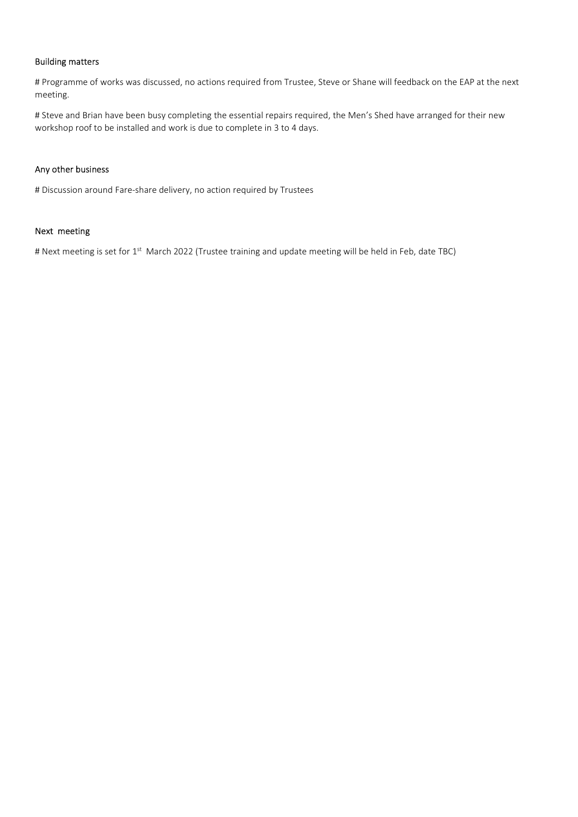**Building matters**<br>
# Programme of works was discussed, no actions required from Trustee, Steve or Shane w<br>
# Steve and Brian have been busy completing the essential repairs required, the Men's She<br>
workshop roof to be ins **Building matters**<br># Programme of works was discussed, no actions required from Trustee, Steve or Shane will feedback on the EAP at the next<br>meeting.<br># Steve and Brian have been busy completing the essential repairs requir meeting. **# Programme of works was discussed, no actions required from Trustee, Steve or Shane will feedback on the EAP at the next meeting.**<br># Steve and Brian have been busy completing the essential repairs required, the Men's She **Building matters**<br>
# Programme of works was discussed, no actions required from Trustee, Steve or Shane will feedback on the EAP at the next<br>
# Steve and Brian have been busy completing the essential repairs required, the Building matters<br>
# Programme of works was discussed, no actions required from Trustee, Steve or Shane will<br>
# Steve and Brian have been busy completing the essential repairs required, the Men's Shed<br>
workshop roof to be i **#** Programme of works was discussed, no actions required from Trustee, Steve or Shane will feedback on the EAP at the next<br>meeting.<br># Steve and Brian have been busy completing the essential repairs required, the Men's She Building matters<br>
# Programme of works was discussed, no actions required from Trustee, Steve or Shane<br>
# Steve and Brian have been busy completing the essential repairs required, the Men's<br>
\* Workshop roof to be installed **Building matters**<br># Programme of works was discussed, no actions required from Trustee, Steve or Shane will feedback on the EAP at the next<br># Steve and Brian have been busy completing the essential repairs required, the M